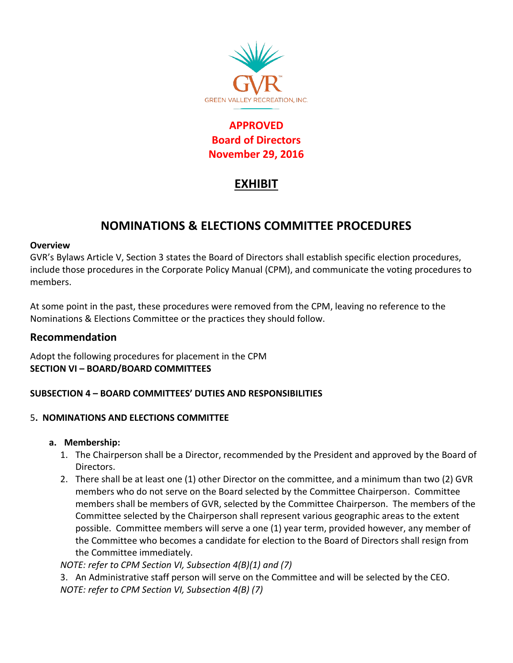

## **APPROVED Board of Directors November 29, 2016**

# **EXHIBIT**

# **NOMINATIONS & ELECTIONS COMMITTEE PROCEDURES**

#### **Overview**

GVR's Bylaws Article V, Section 3 states the Board of Directors shall establish specific election procedures, include those procedures in the Corporate Policy Manual (CPM), and communicate the voting procedures to members.

At some point in the past, these procedures were removed from the CPM, leaving no reference to the Nominations & Elections Committee or the practices they should follow.

## **Recommendation**

Adopt the following procedures for placement in the CPM **SECTION VI – BOARD/BOARD COMMITTEES**

## **SUBSECTION 4 – BOARD COMMITTEES' DUTIES AND RESPONSIBILITIES**

### 5**. NOMINATIONS AND ELECTIONS COMMITTEE**

### **a. Membership:**

- 1. The Chairperson shall be a Director, recommended by the President and approved by the Board of Directors.
- 2. There shall be at least one (1) other Director on the committee, and a minimum than two (2) GVR members who do not serve on the Board selected by the Committee Chairperson. Committee members shall be members of GVR, selected by the Committee Chairperson. The members of the Committee selected by the Chairperson shall represent various geographic areas to the extent possible. Committee members will serve a one (1) year term, provided however, any member of the Committee who becomes a candidate for election to the Board of Directors shall resign from the Committee immediately.

*NOTE: refer to CPM Section VI, Subsection 4(B)(1) and (7)*

3. An Administrative staff person will serve on the Committee and will be selected by the CEO. *NOTE: refer to CPM Section VI, Subsection 4(B) (7)*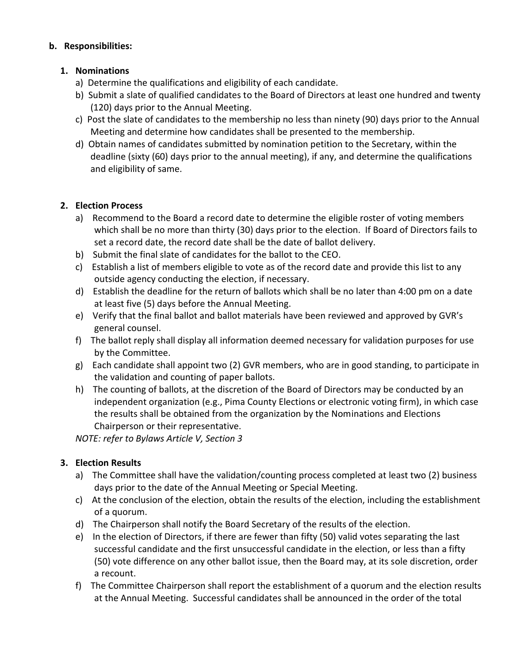### **b. Responsibilities:**

### **1. Nominations**

- a) Determine the qualifications and eligibility of each candidate.
- b) Submit a slate of qualified candidates to the Board of Directors at least one hundred and twenty (120) days prior to the Annual Meeting.
- c) Post the slate of candidates to the membership no less than ninety (90) days prior to the Annual Meeting and determine how candidates shall be presented to the membership.
- d) Obtain names of candidates submitted by nomination petition to the Secretary, within the deadline (sixty (60) days prior to the annual meeting), if any, and determine the qualifications and eligibility of same.

## **2. Election Process**

- a) Recommend to the Board a record date to determine the eligible roster of voting members which shall be no more than thirty (30) days prior to the election. If Board of Directors fails to set a record date, the record date shall be the date of ballot delivery.
- b) Submit the final slate of candidates for the ballot to the CEO.
- c) Establish a list of members eligible to vote as of the record date and provide this list to any outside agency conducting the election, if necessary.
- d) Establish the deadline for the return of ballots which shall be no later than 4:00 pm on a date at least five (5) days before the Annual Meeting.
- e) Verify that the final ballot and ballot materials have been reviewed and approved by GVR's general counsel.
- f) The ballot reply shall display all information deemed necessary for validation purposes for use by the Committee.
- g) Each candidate shall appoint two (2) GVR members, who are in good standing, to participate in the validation and counting of paper ballots.
- h) The counting of ballots, at the discretion of the Board of Directors may be conducted by an independent organization (e.g., Pima County Elections or electronic voting firm), in which case the results shall be obtained from the organization by the Nominations and Elections Chairperson or their representative.

*NOTE: refer to Bylaws Article V, Section 3*

## **3. Election Results**

- a) The Committee shall have the validation/counting process completed at least two (2) business days prior to the date of the Annual Meeting or Special Meeting.
- c) At the conclusion of the election, obtain the results of the election, including the establishment of a quorum.
- d) The Chairperson shall notify the Board Secretary of the results of the election.
- e) In the election of Directors, if there are fewer than fifty (50) valid votes separating the last successful candidate and the first unsuccessful candidate in the election, or less than a fifty (50) vote difference on any other ballot issue, then the Board may, at its sole discretion, order a recount.
- f) The Committee Chairperson shall report the establishment of a quorum and the election results at the Annual Meeting. Successful candidates shall be announced in the order of the total